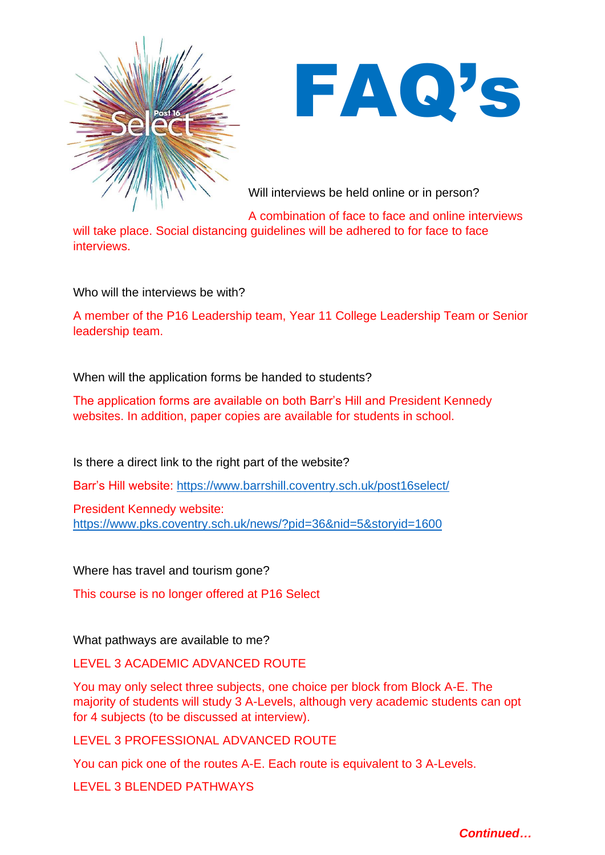



Will interviews be held online or in person?

A combination of face to face and online interviews will take place. Social distancing guidelines will be adhered to for face to face interviews.

Who will the interviews be with?

A member of the P16 Leadership team, Year 11 College Leadership Team or Senior leadership team.

When will the application forms be handed to students?

The application forms are available on both Barr's Hill and President Kennedy websites. In addition, paper copies are available for students in school.

Is there a direct link to the right part of the website?

Barr's Hill website:<https://www.barrshill.coventry.sch.uk/post16select/>

President Kennedy website: <https://www.pks.coventry.sch.uk/news/?pid=36&nid=5&storyid=1600>

Where has travel and tourism gone?

This course is no longer offered at P16 Select

What pathways are available to me?

LEVEL 3 ACADEMIC ADVANCED ROUTE

You may only select three subjects, one choice per block from Block A-E. The majority of students will study 3 A-Levels, although very academic students can opt for 4 subjects (to be discussed at interview).

LEVEL 3 PROFESSIONAL ADVANCED ROUTE

You can pick one of the routes A-E. Each route is equivalent to 3 A-Levels.

LEVEL 3 BLENDED PATHWAYS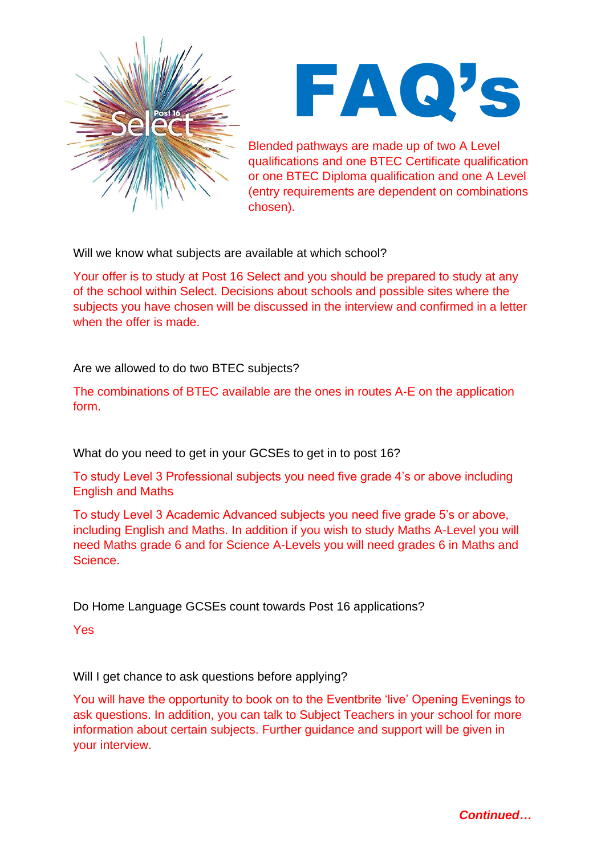



Blended pathways are made up of two A Level qualifications and one BTEC Certificate qualification or one BTEC Diploma qualification and one A Level (entry requirements are dependent on combinations chosen).

Will we know what subjects are available at which school?

Your offer is to study at Post 16 Select and you should be prepared to study at any of the school within Select. Decisions about schools and possible sites where the subjects you have chosen will be discussed in the interview and confirmed in a letter when the offer is made.

Are we allowed to do two BTEC subjects?

The combinations of BTEC available are the ones in routes A-E on the application form.

What do you need to get in your GCSEs to get in to post 16?

To study Level 3 Professional subjects you need five grade 4's or above including English and Maths

To study Level 3 Academic Advanced subjects you need five grade 5's or above, including English and Maths. In addition if you wish to study Maths A-Level you will need Maths grade 6 and for Science A-Levels you will need grades 6 in Maths and Science.

Do Home Language GCSEs count towards Post 16 applications?

Yes

Will I get chance to ask questions before applying?

You will have the opportunity to book on to the Eventbrite 'live' Opening Evenings to ask questions. In addition, you can talk to Subject Teachers in your school for more information about certain subjects. Further guidance and support will be given in your interview.